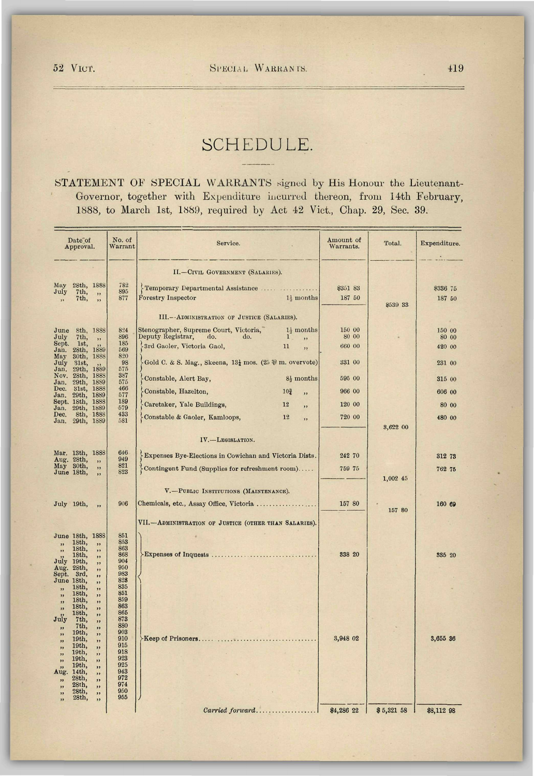## SCHEDULE.

STATEMENT OF SPECIAL WARRANTS signed by His Honour the Lieutenant-Governor, together with Expenditure incurred thereon, from 14th February, 1888, to March 1st, 1889, required by Act 42 Vict., Chap. 29, Sec. 39.

| Date of<br>Approval.                                                                                                                                                                                                                                                                                                                                                                                                                                                     | No. of<br>Warrant                                                                                                                                                                  | Service.                                                                                                                                                                                                                                                                                                                                                                                                                                                                                                       | Amount of<br>Warrants.                                                      | Total.                         | Expenditure.                                                               |
|--------------------------------------------------------------------------------------------------------------------------------------------------------------------------------------------------------------------------------------------------------------------------------------------------------------------------------------------------------------------------------------------------------------------------------------------------------------------------|------------------------------------------------------------------------------------------------------------------------------------------------------------------------------------|----------------------------------------------------------------------------------------------------------------------------------------------------------------------------------------------------------------------------------------------------------------------------------------------------------------------------------------------------------------------------------------------------------------------------------------------------------------------------------------------------------------|-----------------------------------------------------------------------------|--------------------------------|----------------------------------------------------------------------------|
| 28th, 1888<br>May<br>July<br>7th,<br>,,<br>7th,<br>,<br>$\ddot{\phantom{a}}$                                                                                                                                                                                                                                                                                                                                                                                             | 782<br>895<br>877                                                                                                                                                                  | II.-CIVIL GOVERNMENT (SALARIES).<br>Temporary Departmental Assistance<br><b>Forestry Inspector</b><br>$1\frac{1}{2}$ months                                                                                                                                                                                                                                                                                                                                                                                    | \$351 83<br>187 50                                                          | \$539 33                       | \$336 75<br>187 50                                                         |
| June<br>8th, 1888<br>July<br>7th,<br>, ,<br>Sept.<br>1st,<br>Jan.<br>28th, 1889<br>May<br>30th,<br>1888<br>July<br>31st,<br>1889<br>Jan.<br>29th,<br>Nov.<br>28th,<br><b>188S</b><br>Jan.<br>$29th$ ,<br>1889<br>Dec.<br>31st,<br>1888<br>Jan.<br>29th,<br>1889<br>Sept. 18th,<br>1888<br>Jan.<br>29th,<br>1889<br>8th, 1888<br>Dec.<br>29th, 1889<br>Jan.                                                                                                               | 824<br>896<br>185<br>569<br>820<br>98<br>575<br>387<br>575<br>466<br>577<br>189<br>579<br>433<br>581                                                                               | III. -- ADMINISTRATION OF JUSTICE (SALARIES).<br>Stenographer, Supreme Court, Victoria,<br>$1\frac{1}{2}$ months<br>Deputy Registrar,<br>do.<br>$\mathbf{1}$<br>do.<br>,,<br>3rd Gaoler, Victoria Gaol,<br>11<br>,,<br>Gold C. & S. Mag., Skeena, $13\frac{1}{4}$ mos. (25 $\frac{1}{6}$ m. overvote)<br>Constable, Alert Bay,<br>8 <sup>1</sup> / <sub>8</sub> months<br>Constable, Hazelton,<br>10 <sub>2</sub><br>,,<br>Caretaker, Yale Buildings,<br>12<br>,,<br>Constable & Gaoler, Kamloops,<br>12<br>,, | 150 00<br>80 00<br>660 00<br>331 00<br>595 00<br>966 00<br>120 00<br>720 00 |                                | 150 00<br>80 00<br>420 00<br>231 00<br>315 00<br>606 00<br>80 00<br>480 00 |
| Mar. 13th, 1888<br>Aug. 28th,<br>,,<br>May 30th,<br>,,<br>June 18th,<br>,<br>July 19th,<br>,,                                                                                                                                                                                                                                                                                                                                                                            | 646<br>949<br>821<br>823<br>906                                                                                                                                                    | IV.-LEGISLATION.<br>Expenses Bye-Elections in Cowichan and Victoria Dists.<br>Contingent Fund (Supplies for refreshment room)<br>V.-PUBLIC INSTITUTIONS (MAINTENANCE).<br>Chemicals, etc., Assay Office, Victoria                                                                                                                                                                                                                                                                                              | 242 70<br>759 75<br>157 80                                                  | 3,622 00<br>1,002 45<br>157 80 | 312 73<br>762 75<br>160 69                                                 |
| June 18th, 1888<br>18th,<br>,,<br>,,<br>18 <sub>th</sub><br>,<br>$18th$ ,<br>,<br>July<br>19th,<br>"<br>Aug.<br>28th,<br>,,<br>Sept.<br>$3rd$ ,<br>,,<br>June 18th.<br>,<br>18th,<br>,,<br>$18th$ ,<br>,,<br>18th<br>,,<br>18th,<br>,,<br>$18th$ ,<br>,,<br>July<br>7th,<br>,,<br>7th,<br>,,<br>19th,<br>,,<br>19th,<br>,,<br>19th,<br>,<br>19th,<br>,,<br>19th,<br>,,<br>19th,<br>,,<br>Aug.<br>14th,<br>,,<br>28th.<br>,,<br>28th,<br>,,<br>28th,<br>,,<br>28th,<br>,, | 851<br>853<br>863<br>868<br>904<br>950<br>983<br>828<br>835<br>851<br>859<br>863<br>865<br>873<br>880<br>903<br>910<br>915<br>918<br>923<br>925<br>943<br>972<br>974<br>950<br>955 | VII.-ADMINISTRATION OF JUSTICE (OTHER THAN SALARIES).                                                                                                                                                                                                                                                                                                                                                                                                                                                          | 338 20                                                                      |                                | 335 20                                                                     |
|                                                                                                                                                                                                                                                                                                                                                                                                                                                                          |                                                                                                                                                                                    | Carried forward                                                                                                                                                                                                                                                                                                                                                                                                                                                                                                | 3,948 02<br>\$4,286 22                                                      | \$5,321 58                     | 3,655 36<br>\$8,112 98                                                     |